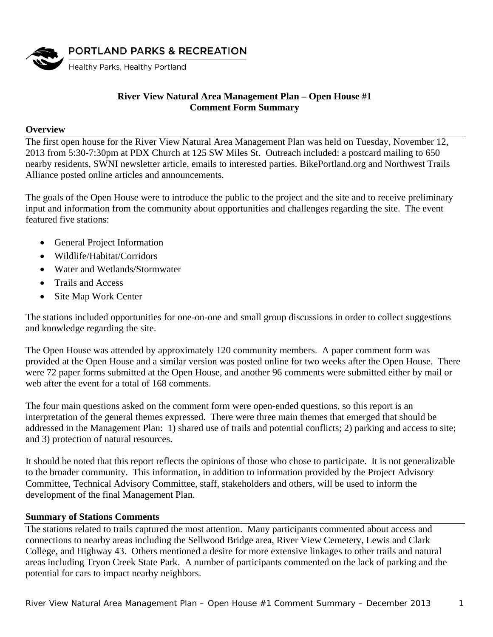

# **River View Natural Area Management Plan – Open House #1 Comment Form Summary**

#### **Overview**

The first open house for the River View Natural Area Management Plan was held on Tuesday, November 12, 2013 from 5:30-7:30pm at PDX Church at 125 SW Miles St. Outreach included: a postcard mailing to 650 nearby residents, SWNI newsletter article, emails to interested parties. BikePortland.org and Northwest Trails Alliance posted online articles and announcements.

The goals of the Open House were to introduce the public to the project and the site and to receive preliminary input and information from the community about opportunities and challenges regarding the site. The event featured five stations:

- General Project Information
- Wildlife/Habitat/Corridors
- Water and Wetlands/Stormwater
- Trails and Access
- Site Map Work Center

The stations included opportunities for one-on-one and small group discussions in order to collect suggestions and knowledge regarding the site.

The Open House was attended by approximately 120 community members. A paper comment form was provided at the Open House and a similar version was posted online for two weeks after the Open House. There were 72 paper forms submitted at the Open House, and another 96 comments were submitted either by mail or web after the event for a total of 168 comments.

The four main questions asked on the comment form were open-ended questions, so this report is an interpretation of the general themes expressed. There were three main themes that emerged that should be addressed in the Management Plan: 1) shared use of trails and potential conflicts; 2) parking and access to site; and 3) protection of natural resources.

It should be noted that this report reflects the opinions of those who chose to participate. It is not generalizable to the broader community. This information, in addition to information provided by the Project Advisory Committee, Technical Advisory Committee, staff, stakeholders and others, will be used to inform the development of the final Management Plan.

## **Summary of Stations Comments**

The stations related to trails captured the most attention. Many participants commented about access and connections to nearby areas including the Sellwood Bridge area, River View Cemetery, Lewis and Clark College, and Highway 43. Others mentioned a desire for more extensive linkages to other trails and natural areas including Tryon Creek State Park. A number of participants commented on the lack of parking and the potential for cars to impact nearby neighbors.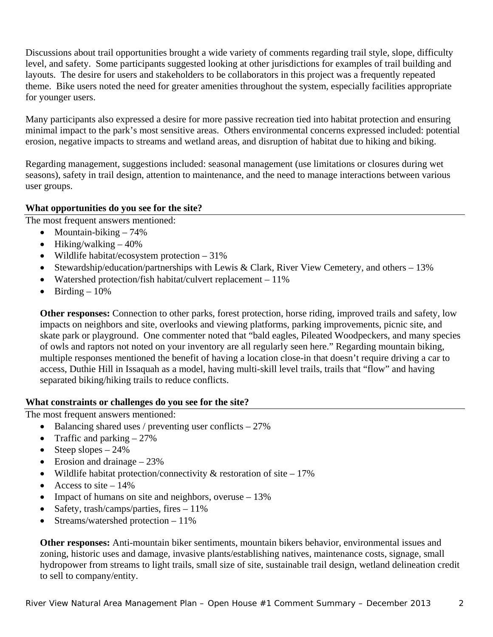Discussions about trail opportunities brought a wide variety of comments regarding trail style, slope, difficulty level, and safety. Some participants suggested looking at other jurisdictions for examples of trail building and layouts. The desire for users and stakeholders to be collaborators in this project was a frequently repeated theme. Bike users noted the need for greater amenities throughout the system, especially facilities appropriate for younger users.

Many participants also expressed a desire for more passive recreation tied into habitat protection and ensuring minimal impact to the park's most sensitive areas. Others environmental concerns expressed included: potential erosion, negative impacts to streams and wetland areas, and disruption of habitat due to hiking and biking.

Regarding management, suggestions included: seasonal management (use limitations or closures during wet seasons), safety in trail design, attention to maintenance, and the need to manage interactions between various user groups.

# **What opportunities do you see for the site?**

The most frequent answers mentioned:

- Mountain-biking  $-74%$
- $\bullet$  Hiking/walking  $-40\%$
- Wildlife habitat/ecosystem protection  $-31\%$
- Stewardship/education/partnerships with Lewis & Clark, River View Cemetery, and others 13%
- Watershed protection/fish habitat/culvert replacement  $-11\%$
- $\bullet$  Birding 10%

**Other responses:** Connection to other parks, forest protection, horse riding, improved trails and safety, low impacts on neighbors and site, overlooks and viewing platforms, parking improvements, picnic site, and skate park or playground. One commenter noted that "bald eagles, Pileated Woodpeckers, and many species of owls and raptors not noted on your inventory are all regularly seen here." Regarding mountain biking, multiple responses mentioned the benefit of having a location close-in that doesn't require driving a car to access, Duthie Hill in Issaquah as a model, having multi-skill level trails, trails that "flow" and having separated biking/hiking trails to reduce conflicts.

# **What constraints or challenges do you see for the site?**

The most frequent answers mentioned:

- $\bullet$  Balancing shared uses / preventing user conflicts 27%
- Traffic and parking  $-27\%$
- Steep slopes  $-24\%$
- Erosion and drainage  $-23\%$
- Wildlife habitat protection/connectivity  $&$  restoration of site 17%
- Access to site  $-14\%$
- Impact of humans on site and neighbors, overuse  $-13\%$
- Safety, trash/camps/parties, fires  $-11\%$
- Streams/watershed protection 11%

**Other responses:** Anti-mountain biker sentiments, mountain bikers behavior, environmental issues and zoning, historic uses and damage, invasive plants/establishing natives, maintenance costs, signage, small hydropower from streams to light trails, small size of site, sustainable trail design, wetland delineation credit to sell to company/entity.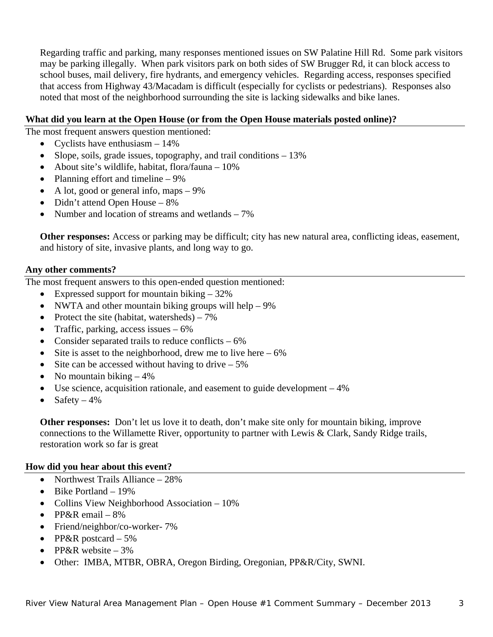Regarding traffic and parking, many responses mentioned issues on SW Palatine Hill Rd. Some park visitors may be parking illegally. When park visitors park on both sides of SW Brugger Rd, it can block access to school buses, mail delivery, fire hydrants, and emergency vehicles. Regarding access, responses specified that access from Highway 43/Macadam is difficult (especially for cyclists or pedestrians). Responses also noted that most of the neighborhood surrounding the site is lacking sidewalks and bike lanes.

## **What did you learn at the Open House (or from the Open House materials posted online)?**

The most frequent answers question mentioned:

- Cyclists have enthusiasm  $-14\%$
- Slope, soils, grade issues, topography, and trail conditions  $-13\%$
- About site's wildlife, habitat, flora/fauna 10%
- Planning effort and timeline 9%
- A lot, good or general info, maps  $-9\%$
- Didn't attend Open House  $-8\%$
- Number and location of streams and wetlands  $-7\%$

**Other responses:** Access or parking may be difficult; city has new natural area, conflicting ideas, easement, and history of site, invasive plants, and long way to go.

#### **Any other comments?**

The most frequent answers to this open-ended question mentioned:

- Expressed support for mountain biking  $-32\%$
- NWTA and other mountain biking groups will help  $-9\%$
- Protect the site (habitat, watersheds)  $-7\%$
- Traffic, parking, access issues  $-6\%$
- Consider separated trails to reduce conflicts  $-6\%$
- Site is asset to the neighborhood, drew me to live here  $-6\%$
- Site can be accessed without having to drive  $-5\%$
- No mountain biking  $-4\%$
- Use science, acquisition rationale, and easement to guide development 4%
- Safety  $-4\%$

**Other responses:** Don't let us love it to death, don't make site only for mountain biking, improve connections to the Willamette River, opportunity to partner with Lewis & Clark, Sandy Ridge trails, restoration work so far is great

## **How did you hear about this event?**

- Northwest Trails Alliance  $-28\%$
- $\bullet$  Bike Portland 19%
- Collins View Neighborhood Association 10%
- PP&R email  $-8\%$
- Friend/neighbor/co-worker- 7%
- PP&R postcard  $-5\%$
- PP&R website  $-3\%$
- Other: IMBA, MTBR, OBRA, Oregon Birding, Oregonian, PP&R/City, SWNI.